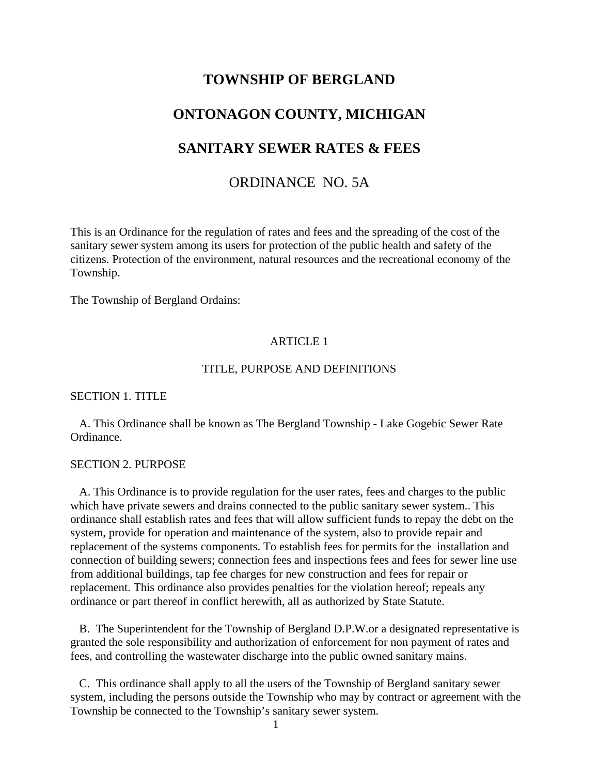# **TOWNSHIP OF BERGLAND**

# **ONTONAGON COUNTY, MICHIGAN**

## **SANITARY SEWER RATES & FEES**

## ORDINANCE NO. 5A

This is an Ordinance for the regulation of rates and fees and the spreading of the cost of the sanitary sewer system among its users for protection of the public health and safety of the citizens. Protection of the environment, natural resources and the recreational economy of the Township.

The Township of Bergland Ordains:

#### ARTICLE 1

#### TITLE, PURPOSE AND DEFINITIONS

SECTION 1. TITLE

 A. This Ordinance shall be known as The Bergland Township - Lake Gogebic Sewer Rate Ordinance.

### SECTION 2. PURPOSE

 A. This Ordinance is to provide regulation for the user rates, fees and charges to the public which have private sewers and drains connected to the public sanitary sewer system.. This ordinance shall establish rates and fees that will allow sufficient funds to repay the debt on the system, provide for operation and maintenance of the system, also to provide repair and replacement of the systems components. To establish fees for permits for the installation and connection of building sewers; connection fees and inspections fees and fees for sewer line use from additional buildings, tap fee charges for new construction and fees for repair or replacement. This ordinance also provides penalties for the violation hereof; repeals any ordinance or part thereof in conflict herewith, all as authorized by State Statute.

 B. The Superintendent for the Township of Bergland D.P.W.or a designated representative is granted the sole responsibility and authorization of enforcement for non payment of rates and fees, and controlling the wastewater discharge into the public owned sanitary mains.

 C. This ordinance shall apply to all the users of the Township of Bergland sanitary sewer system, including the persons outside the Township who may by contract or agreement with the Township be connected to the Township's sanitary sewer system.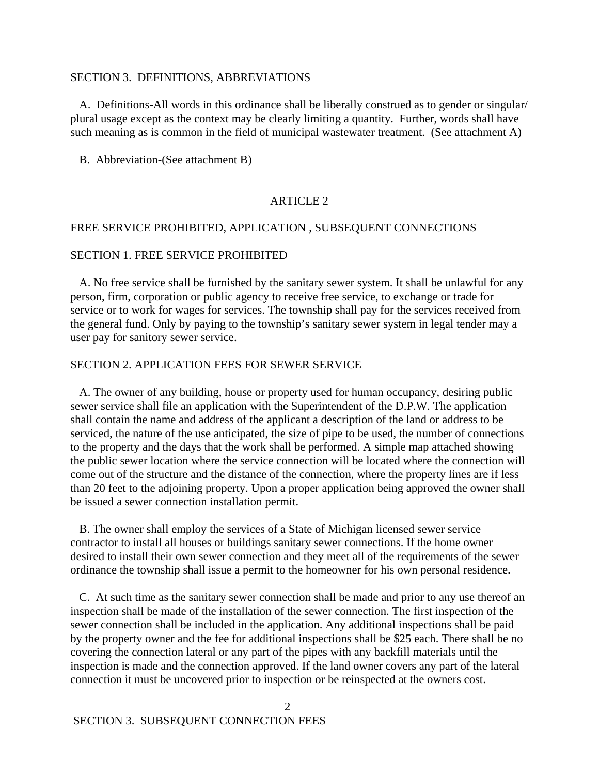#### SECTION 3. DEFINITIONS, ABBREVIATIONS

 A. Definitions-All words in this ordinance shall be liberally construed as to gender or singular/ plural usage except as the context may be clearly limiting a quantity. Further, words shall have such meaning as is common in the field of municipal wastewater treatment. (See attachment A)

B. Abbreviation-(See attachment B)

### ARTICLE 2

#### FREE SERVICE PROHIBITED, APPLICATION , SUBSEQUENT CONNECTIONS

### SECTION 1. FREE SERVICE PROHIBITED

 A. No free service shall be furnished by the sanitary sewer system. It shall be unlawful for any person, firm, corporation or public agency to receive free service, to exchange or trade for service or to work for wages for services. The township shall pay for the services received from the general fund. Only by paying to the township's sanitary sewer system in legal tender may a user pay for sanitory sewer service.

#### SECTION 2. APPLICATION FEES FOR SEWER SERVICE

 A. The owner of any building, house or property used for human occupancy, desiring public sewer service shall file an application with the Superintendent of the D.P.W. The application shall contain the name and address of the applicant a description of the land or address to be serviced, the nature of the use anticipated, the size of pipe to be used, the number of connections to the property and the days that the work shall be performed. A simple map attached showing the public sewer location where the service connection will be located where the connection will come out of the structure and the distance of the connection, where the property lines are if less than 20 feet to the adjoining property. Upon a proper application being approved the owner shall be issued a sewer connection installation permit.

 B. The owner shall employ the services of a State of Michigan licensed sewer service contractor to install all houses or buildings sanitary sewer connections. If the home owner desired to install their own sewer connection and they meet all of the requirements of the sewer ordinance the township shall issue a permit to the homeowner for his own personal residence.

 C. At such time as the sanitary sewer connection shall be made and prior to any use thereof an inspection shall be made of the installation of the sewer connection. The first inspection of the sewer connection shall be included in the application. Any additional inspections shall be paid by the property owner and the fee for additional inspections shall be \$25 each. There shall be no covering the connection lateral or any part of the pipes with any backfill materials until the inspection is made and the connection approved. If the land owner covers any part of the lateral connection it must be uncovered prior to inspection or be reinspected at the owners cost.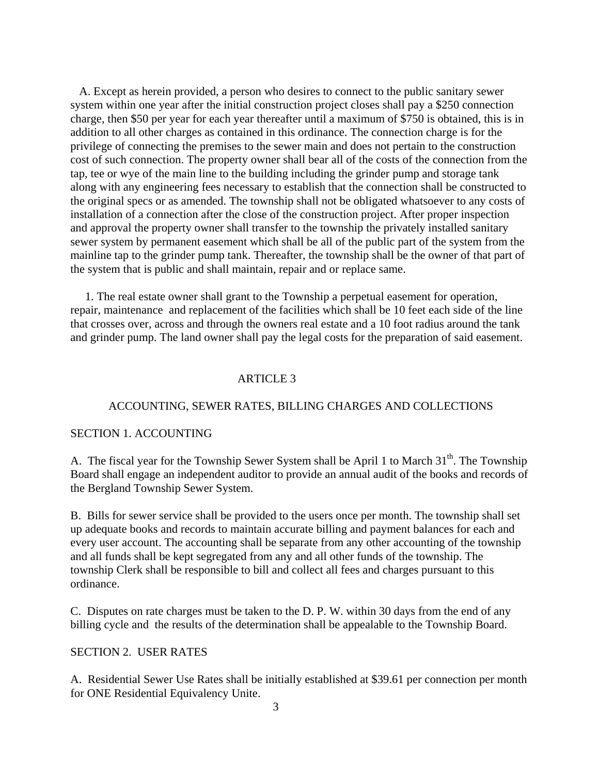A. Except as herein provided, a person who desires to connect to the public sanitary sewer system within one year after the initial construction project closes shall pay a \$250 connection charge, then \$50 per year for each year thereafter until a maximum of \$750 is obtained, this is in addition to all other charges as contained in this ordinance. The connection charge is for the privilege of connecting the premises to the sewer main and does not pertain to the construction cost of such connection. The property owner shall bear all of the costs of the connection from the tap, tee or wye of the main line to the building including the grinder pump and storage tank along with any engineering fees necessary to establish that the connection shall be constructed to the original specs or as amended. The township shall not be obligated whatsoever to any costs of installation of a connection after the close of the construction project. After proper inspection and approval the property owner shall transfer to the township the privately installed sanitary sewer system by permanent easement which shall be all of the public part of the system from the mainline tap to the grinder pump tank. Thereafter, the township shall be the owner of that part of the system that is public and shall maintain, repair and or replace same.

 1. The real estate owner shall grant to the Township a perpetual easement for operation, repair, maintenance and replacement of the facilities which shall be 10 feet each side of the line that crosses over, across and through the owners real estate and a 10 foot radius around the tank and grinder pump. The land owner shall pay the legal costs for the preparation of said easement.

### ARTICLE 3

#### ACCOUNTING, SEWER RATES, BILLING CHARGES AND COLLECTIONS

#### SECTION 1. ACCOUNTING

A. The fiscal year for the Township Sewer System shall be April 1 to March 31<sup>th</sup>. The Township Board shall engage an independent auditor to provide an annual audit of the books and records of the Bergland Township Sewer System.

B. Bills for sewer service shall be provided to the users once per month. The township shall set up adequate books and records to maintain accurate billing and payment balances for each and every user account. The accounting shall be separate from any other accounting of the township and all funds shall be kept segregated from any and all other funds of the township. The township Clerk shall be responsible to bill and collect all fees and charges pursuant to this ordinance.

C. Disputes on rate charges must be taken to the D. P. W. within 30 days from the end of any billing cycle and the results of the determination shall be appealable to the Township Board.

#### SECTION 2. USER RATES

A. Residential Sewer Use Rates shall be initially established at \$39.61 per connection per month for ONE Residential Equivalency Unite.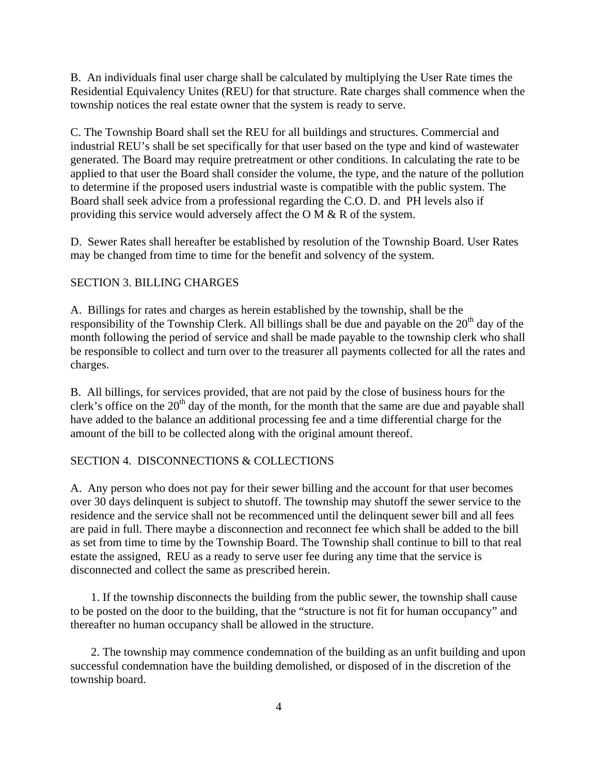B. An individuals final user charge shall be calculated by multiplying the User Rate times the Residential Equivalency Unites (REU) for that structure. Rate charges shall commence when the township notices the real estate owner that the system is ready to serve.

C. The Township Board shall set the REU for all buildings and structures. Commercial and industrial REU's shall be set specifically for that user based on the type and kind of wastewater generated. The Board may require pretreatment or other conditions. In calculating the rate to be applied to that user the Board shall consider the volume, the type, and the nature of the pollution to determine if the proposed users industrial waste is compatible with the public system. The Board shall seek advice from a professional regarding the C.O. D. and PH levels also if providing this service would adversely affect the O M & R of the system.

D. Sewer Rates shall hereafter be established by resolution of the Township Board. User Rates may be changed from time to time for the benefit and solvency of the system.

## SECTION 3. BILLING CHARGES

A. Billings for rates and charges as herein established by the township, shall be the responsibility of the Township Clerk. All billings shall be due and payable on the  $20<sup>th</sup>$  day of the month following the period of service and shall be made payable to the township clerk who shall be responsible to collect and turn over to the treasurer all payments collected for all the rates and charges.

B. All billings, for services provided, that are not paid by the close of business hours for the clerk's office on the  $20<sup>th</sup>$  day of the month, for the month that the same are due and payable shall have added to the balance an additional processing fee and a time differential charge for the amount of the bill to be collected along with the original amount thereof.

## SECTION 4. DISCONNECTIONS & COLLECTIONS

A. Any person who does not pay for their sewer billing and the account for that user becomes over 30 days delinquent is subject to shutoff. The township may shutoff the sewer service to the residence and the service shall not be recommenced until the delinquent sewer bill and all fees are paid in full. There maybe a disconnection and reconnect fee which shall be added to the bill as set from time to time by the Township Board. The Township shall continue to bill to that real estate the assigned, REU as a ready to serve user fee during any time that the service is disconnected and collect the same as prescribed herein.

 1. If the township disconnects the building from the public sewer, the township shall cause to be posted on the door to the building, that the "structure is not fit for human occupancy" and thereafter no human occupancy shall be allowed in the structure.

 2. The township may commence condemnation of the building as an unfit building and upon successful condemnation have the building demolished, or disposed of in the discretion of the township board.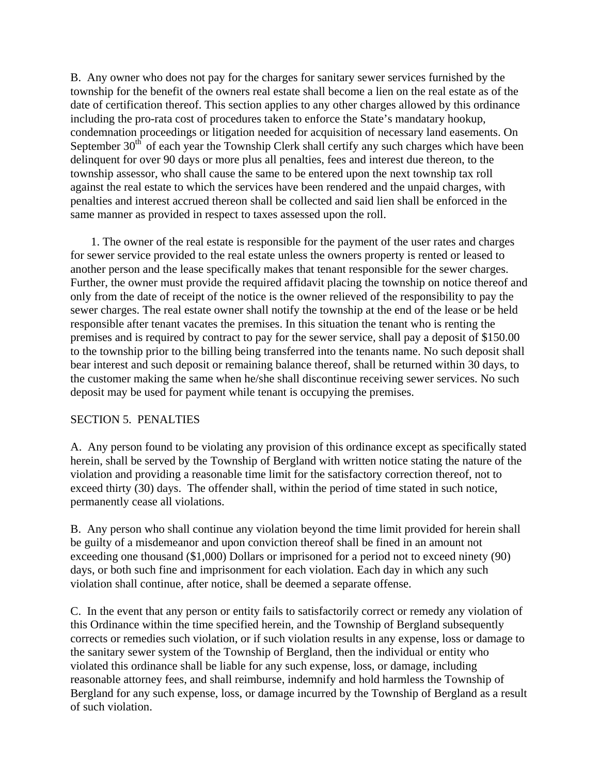B. Any owner who does not pay for the charges for sanitary sewer services furnished by the township for the benefit of the owners real estate shall become a lien on the real estate as of the date of certification thereof. This section applies to any other charges allowed by this ordinance including the pro-rata cost of procedures taken to enforce the State's mandatary hookup, condemnation proceedings or litigation needed for acquisition of necessary land easements. On September  $30<sup>th</sup>$  of each year the Township Clerk shall certify any such charges which have been delinquent for over 90 days or more plus all penalties, fees and interest due thereon, to the township assessor, who shall cause the same to be entered upon the next township tax roll against the real estate to which the services have been rendered and the unpaid charges, with penalties and interest accrued thereon shall be collected and said lien shall be enforced in the same manner as provided in respect to taxes assessed upon the roll.

 1. The owner of the real estate is responsible for the payment of the user rates and charges for sewer service provided to the real estate unless the owners property is rented or leased to another person and the lease specifically makes that tenant responsible for the sewer charges. Further, the owner must provide the required affidavit placing the township on notice thereof and only from the date of receipt of the notice is the owner relieved of the responsibility to pay the sewer charges. The real estate owner shall notify the township at the end of the lease or be held responsible after tenant vacates the premises. In this situation the tenant who is renting the premises and is required by contract to pay for the sewer service, shall pay a deposit of \$150.00 to the township prior to the billing being transferred into the tenants name. No such deposit shall bear interest and such deposit or remaining balance thereof, shall be returned within 30 days, to the customer making the same when he/she shall discontinue receiving sewer services. No such deposit may be used for payment while tenant is occupying the premises.

## SECTION 5. PENALTIES

A. Any person found to be violating any provision of this ordinance except as specifically stated herein, shall be served by the Township of Bergland with written notice stating the nature of the violation and providing a reasonable time limit for the satisfactory correction thereof, not to exceed thirty (30) days. The offender shall, within the period of time stated in such notice, permanently cease all violations.

B. Any person who shall continue any violation beyond the time limit provided for herein shall be guilty of a misdemeanor and upon conviction thereof shall be fined in an amount not exceeding one thousand (\$1,000) Dollars or imprisoned for a period not to exceed ninety (90) days, or both such fine and imprisonment for each violation. Each day in which any such violation shall continue, after notice, shall be deemed a separate offense.

C. In the event that any person or entity fails to satisfactorily correct or remedy any violation of this Ordinance within the time specified herein, and the Township of Bergland subsequently corrects or remedies such violation, or if such violation results in any expense, loss or damage to the sanitary sewer system of the Township of Bergland, then the individual or entity who violated this ordinance shall be liable for any such expense, loss, or damage, including reasonable attorney fees, and shall reimburse, indemnify and hold harmless the Township of Bergland for any such expense, loss, or damage incurred by the Township of Bergland as a result of such violation.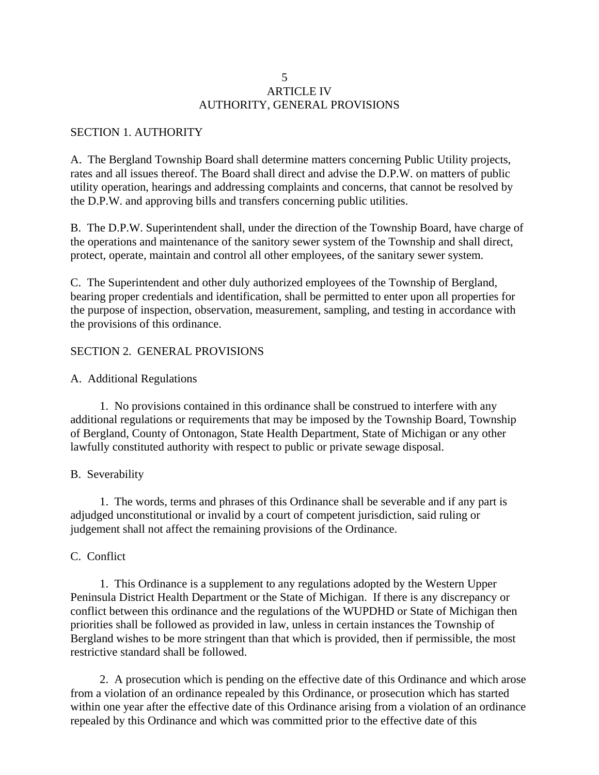### $\overline{5}$  ARTICLE IV AUTHORITY, GENERAL PROVISIONS

#### SECTION 1. AUTHORITY

A. The Bergland Township Board shall determine matters concerning Public Utility projects, rates and all issues thereof. The Board shall direct and advise the D.P.W. on matters of public utility operation, hearings and addressing complaints and concerns, that cannot be resolved by the D.P.W. and approving bills and transfers concerning public utilities.

B. The D.P.W. Superintendent shall, under the direction of the Township Board, have charge of the operations and maintenance of the sanitory sewer system of the Township and shall direct, protect, operate, maintain and control all other employees, of the sanitary sewer system.

C. The Superintendent and other duly authorized employees of the Township of Bergland, bearing proper credentials and identification, shall be permitted to enter upon all properties for the purpose of inspection, observation, measurement, sampling, and testing in accordance with the provisions of this ordinance.

### SECTION 2. GENERAL PROVISIONS

A. Additional Regulations

 1. No provisions contained in this ordinance shall be construed to interfere with any additional regulations or requirements that may be imposed by the Township Board, Township of Bergland, County of Ontonagon, State Health Department, State of Michigan or any other lawfully constituted authority with respect to public or private sewage disposal.

#### B. Severability

 1. The words, terms and phrases of this Ordinance shall be severable and if any part is adjudged unconstitutional or invalid by a court of competent jurisdiction, said ruling or judgement shall not affect the remaining provisions of the Ordinance.

#### C. Conflict

 1. This Ordinance is a supplement to any regulations adopted by the Western Upper Peninsula District Health Department or the State of Michigan. If there is any discrepancy or conflict between this ordinance and the regulations of the WUPDHD or State of Michigan then priorities shall be followed as provided in law, unless in certain instances the Township of Bergland wishes to be more stringent than that which is provided, then if permissible, the most restrictive standard shall be followed.

 2. A prosecution which is pending on the effective date of this Ordinance and which arose from a violation of an ordinance repealed by this Ordinance, or prosecution which has started within one year after the effective date of this Ordinance arising from a violation of an ordinance repealed by this Ordinance and which was committed prior to the effective date of this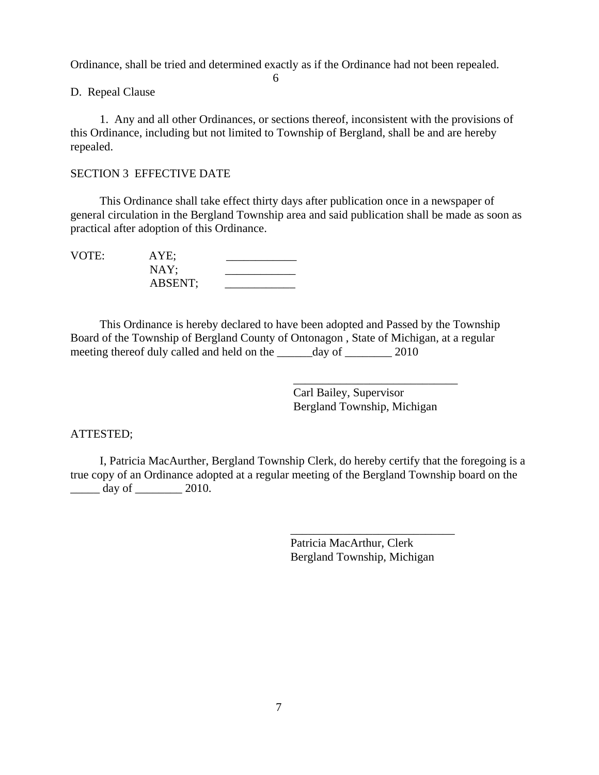Ordinance, shall be tried and determined exactly as if the Ordinance had not been repealed.

6

D. Repeal Clause

 1. Any and all other Ordinances, or sections thereof, inconsistent with the provisions of this Ordinance, including but not limited to Township of Bergland, shall be and are hereby repealed.

## SECTION 3 EFFECTIVE DATE

 This Ordinance shall take effect thirty days after publication once in a newspaper of general circulation in the Bergland Township area and said publication shall be made as soon as practical after adoption of this Ordinance.

VOTE: AYE;  $NAY;$ ABSENT;

 This Ordinance is hereby declared to have been adopted and Passed by the Township Board of the Township of Bergland County of Ontonagon , State of Michigan, at a regular meeting thereof duly called and held on the day of 2010

 $\overline{\phantom{a}}$  , and the contract of the contract of the contract of the contract of the contract of the contract of the contract of the contract of the contract of the contract of the contract of the contract of the contrac

 $\overline{\phantom{a}}$  , and the contract of the contract of the contract of the contract of the contract of the contract of the contract of the contract of the contract of the contract of the contract of the contract of the contrac

 Carl Bailey, Supervisor Bergland Township, Michigan

## ATTESTED;

 I, Patricia MacAurther, Bergland Township Clerk, do hereby certify that the foregoing is a true copy of an Ordinance adopted at a regular meeting of the Bergland Township board on the \_\_\_\_\_ day of \_\_\_\_\_\_\_\_ 2010.

> Patricia MacArthur, Clerk Bergland Township, Michigan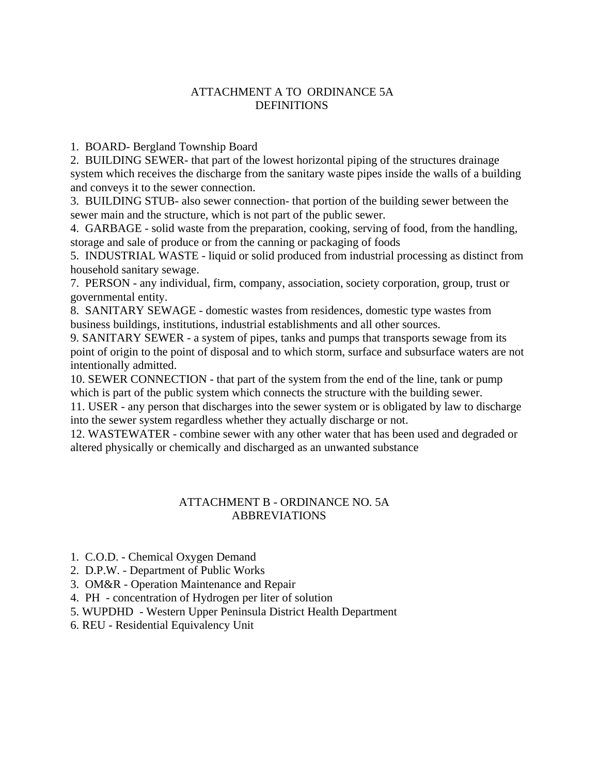## ATTACHMENT A TO ORDINANCE 5A **DEFINITIONS**

1. BOARD- Bergland Township Board

2. BUILDING SEWER- that part of the lowest horizontal piping of the structures drainage system which receives the discharge from the sanitary waste pipes inside the walls of a building and conveys it to the sewer connection.

3. BUILDING STUB- also sewer connection- that portion of the building sewer between the sewer main and the structure, which is not part of the public sewer.

4. GARBAGE - solid waste from the preparation, cooking, serving of food, from the handling, storage and sale of produce or from the canning or packaging of foods

5. INDUSTRIAL WASTE - liquid or solid produced from industrial processing as distinct from household sanitary sewage.

7. PERSON - any individual, firm, company, association, society corporation, group, trust or governmental entity.

8. SANITARY SEWAGE - domestic wastes from residences, domestic type wastes from business buildings, institutions, industrial establishments and all other sources.

9. SANITARY SEWER - a system of pipes, tanks and pumps that transports sewage from its point of origin to the point of disposal and to which storm, surface and subsurface waters are not intentionally admitted.

10. SEWER CONNECTION - that part of the system from the end of the line, tank or pump which is part of the public system which connects the structure with the building sewer.

11. USER - any person that discharges into the sewer system or is obligated by law to discharge into the sewer system regardless whether they actually discharge or not.

12. WASTEWATER - combine sewer with any other water that has been used and degraded or altered physically or chemically and discharged as an unwanted substance

## ATTACHMENT B - ORDINANCE NO. 5A ABBREVIATIONS

- 1. C.O.D. Chemical Oxygen Demand
- 2. D.P.W. Department of Public Works
- 3. OM&R Operation Maintenance and Repair
- 4. PH concentration of Hydrogen per liter of solution
- 5. WUPDHD Western Upper Peninsula District Health Department
- 6. REU Residential Equivalency Unit